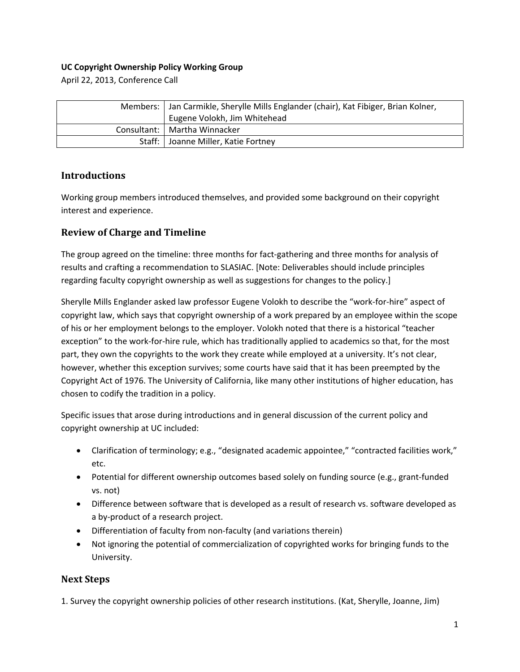## **UC Copyright Ownership Policy Working Group**

April 22, 2013, Conference Call

| Members:   Jan Carmikle, Sherylle Mills Englander (chair), Kat Fibiger, Brian Kolner,<br>Eugene Volokh, Jim Whitehead |
|-----------------------------------------------------------------------------------------------------------------------|
| Consultant:   Martha Winnacker                                                                                        |
| Staff:   Joanne Miller, Katie Fortney                                                                                 |

## **Introductions**

Working group members introduced themselves, and provided some background on their copyright interest and experience.

## **Review of Charge and Timeline**

The group agreed on the timeline: three months for fact-gathering and three months for analysis of results and crafting a recommendation to SLASIAC. [Note: Deliverables should include principles regarding faculty copyright ownership as well as suggestions for changes to the policy.]

Sherylle Mills Englander asked law professor Eugene Volokh to describe the "work‐for‐hire" aspect of copyright law, which says that copyright ownership of a work prepared by an employee within the scope of his or her employment belongs to the employer. Volokh noted that there is a historical "teacher exception" to the work-for-hire rule, which has traditionally applied to academics so that, for the most part, they own the copyrights to the work they create while employed at a university. It's not clear, however, whether this exception survives; some courts have said that it has been preempted by the Copyright Act of 1976. The University of California, like many other institutions of higher education, has chosen to codify the tradition in a policy.

Specific issues that arose during introductions and in general discussion of the current policy and copyright ownership at UC included:

- Clarification of terminology; e.g., "designated academic appointee," "contracted facilities work," etc.
- Potential for different ownership outcomes based solely on funding source (e.g., grant-funded vs. not)
- Difference between software that is developed as a result of research vs. software developed as a by‐product of a research project.
- Differentiation of faculty from non-faculty (and variations therein)
- Not ignoring the potential of commercialization of copyrighted works for bringing funds to the University.

## **Next Steps**

1. Survey the copyright ownership policies of other research institutions. (Kat, Sherylle, Joanne, Jim)